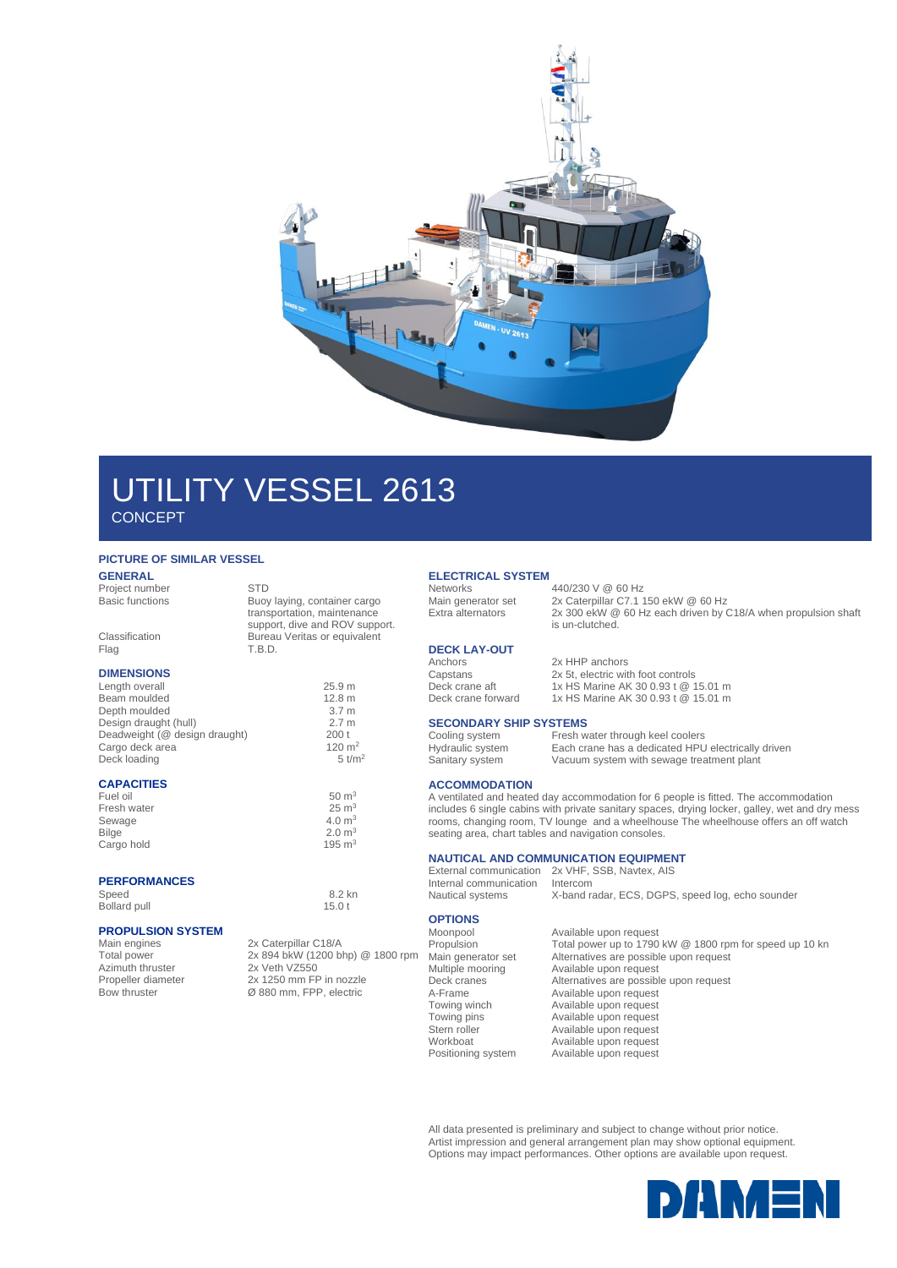

## UTILITY VESSEL 2613 **CONCEPT**

### **PICTURE OF SIMILAR VESSEL**

#### **GENERAL** Project number STD

| <b>Basic functions</b>        | Buoy laying, container cargo<br>transportation, maintenance<br>support, dive and ROV support. |
|-------------------------------|-----------------------------------------------------------------------------------------------|
| Classification<br>Flag        | Bureau Veritas or equivalent<br>T.B.D.                                                        |
| <b>DIMENSIONS</b>             |                                                                                               |
| Length overall                | 25.9 m                                                                                        |
| Beam moulded                  | 12.8 m                                                                                        |
| Depth moulded                 | 3.7 <sub>m</sub>                                                                              |
| Design draught (hull)         | 2.7 <sub>m</sub>                                                                              |
| Deadweight (@ design draught) | 200t                                                                                          |
| Cargo deck area               | 120 $m2$                                                                                      |
| Deck loading                  | $5$ t/m <sup>2</sup>                                                                          |
| <b>CAPACITIES</b>             |                                                                                               |
| Fuel oil                      | $50 \text{ m}^3$                                                                              |
| Fresh water                   | $25 \text{ m}^3$                                                                              |
| Sewage                        | 4.0 m <sup>3</sup>                                                                            |
| <b>Bilge</b>                  | $2.0 \text{ m}^3$                                                                             |
| Cargo hold                    | 195 $m3$                                                                                      |

## **PERFORMANCES**

Speed 8.2 kn Bollard pull 15.0 t

# **PROPULSION SYSTEM**

Azimuth thruster<br>Propeller diameter

Main engines 2x Caterpillar C18/A<br>Total power 2x 894 bkW (1200 b 2x 894 bkW (1200 bhp) @ 1800 rpm<br>2x Veth VZ550 Propeller diameter 2x 1250 mm FP in nozzle<br>Bow thruster  $\varnothing$  880 mm, FPP, electric Ø 880 mm, FPP, electric

### **ELECTRICAL SYSTEM**

### Networks 440/230 V @ 60 Hz<br>Main generator set 2x Caterpillar C7.1 1 Main generator set 2x Caterpillar C7.1 150 ekW @ 60 Hz<br>Extra alternators 2x 300 ekW @ 60 Hz each driven by ( 2x 300 ekW @ 60 Hz each driven by C18/A when propulsion shaft

is un-clutched.

### **DECK LAY-OUT**

Anchors 2x HHP anchors Capstans 2x 5t, electric with foot controls<br>
Deck crane aft 1x HS Marine AK 30 0.93 t  $@$  1 Deck crane aft 1x HS Marine AK 30 0.93 t @ 15.01 m<br>Deck crane forward 1x HS Marine AK 30 0.93 t @ 15.01 m

# **SECONDARY SHIP SYSTEMS**<br>Cooling system Fresh w

Cooling system Fresh water through keel coolers<br>Hydraulic system Each crane has a dedicated HPU Sanitary system Vacuum system with sewage treatment plant

### **ACCOMMODATION**

A ventilated and heated day accommodation for 6 people is fitted. The accommodation includes 6 single cabins with private sanitary spaces, drying locker, galley, wet and dry mess rooms, changing room, TV lounge and a wheelhouse The wheelhouse offers an off watch seating area, chart tables and navigation consoles.

Each crane has a dedicated HPU electrically driven

X-band radar, ECS, DGPS, speed log, echo sounder

Deck crane forward 1x HS Marine AK 30 0.93 t @ 15.01 m

### **NAUTICAL AND COMMUNICATION EQUIPMENT**

External communication 2x VHF, SSB, Navtex, AIS<br>Internal communication Intercom Internal communication<br>Nautical systems

## **OPTIONS**

Available upon request Propulsion Total power up to 1790 kW @ 1800 rpm for speed up 10 kn<br>
Main generator set Alternatives are possible upon request<br>
Multiple mooring Available upon request Main generator set Alternatives are possible upon request Multiple mooring **Available upon request** Deck cranes and the Alternatives are possible upon request<br>A-Frame Available upon request A-Frame <br>Towing winch **Available upon request** Towing winch **Available upon request**<br>
Towing pins **Available upon request** Towing pins **Available upon request**<br>
Stern roller **Available upon request** Available upon request Workboat Available upon request<br>Positioning system Available upon request Available upon request

All data presented is preliminary and subject to change without prior notice. Artist impression and general arrangement plan may show optional equipment. Options may impact performances. Other options are available upon request.